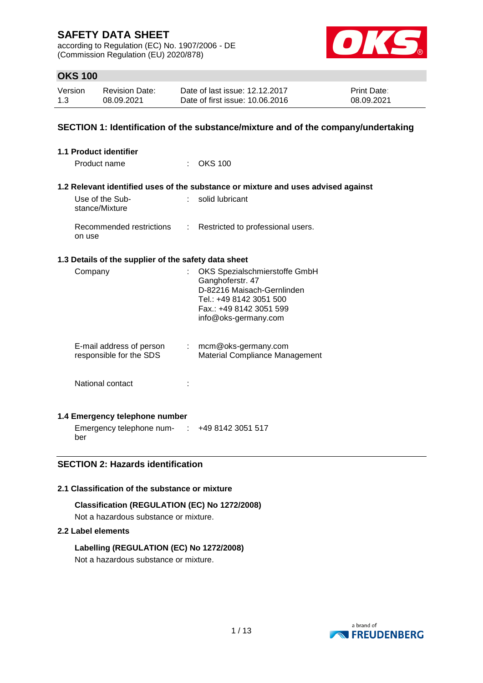according to Regulation (EC) No. 1907/2006 - DE (Commission Regulation (EU) 2020/878)



# **OKS 100**

| Version | <b>Revision Date:</b> | Date of last issue: 12.12.2017  | <b>Print Date:</b> |
|---------|-----------------------|---------------------------------|--------------------|
| 1.3     | 08.09.2021            | Date of first issue: 10.06.2016 | 08.09.2021         |

### **SECTION 1: Identification of the substance/mixture and of the company/undertaking**

| <b>1.1 Product identifier</b>                        |    |                                                                                                                                                               |
|------------------------------------------------------|----|---------------------------------------------------------------------------------------------------------------------------------------------------------------|
| Product name                                         |    | <b>OKS 100</b>                                                                                                                                                |
|                                                      |    | 1.2 Relevant identified uses of the substance or mixture and uses advised against                                                                             |
| Use of the Sub-<br>stance/Mixture                    |    | : solid lubricant                                                                                                                                             |
| Recommended restrictions<br>on use                   |    | : Restricted to professional users.                                                                                                                           |
| 1.3 Details of the supplier of the safety data sheet |    |                                                                                                                                                               |
| Company                                              |    | OKS Spezialschmierstoffe GmbH<br>Ganghoferstr. 47<br>D-82216 Maisach-Gernlinden<br>Tel.: +49 8142 3051 500<br>Fax.: +49 8142 3051 599<br>info@oks-germany.com |
| E-mail address of person<br>responsible for the SDS  | ÷. | mcm@oks-germany.com<br><b>Material Compliance Management</b>                                                                                                  |
| National contact                                     |    |                                                                                                                                                               |
|                                                      |    |                                                                                                                                                               |

### **1.4 Emergency telephone number**

Emergency telephone num-: +49 8142 3051 517 ber

# **SECTION 2: Hazards identification**

### **2.1 Classification of the substance or mixture**

### **Classification (REGULATION (EC) No 1272/2008)**

Not a hazardous substance or mixture.

### **2.2 Label elements**

### **Labelling (REGULATION (EC) No 1272/2008)**

Not a hazardous substance or mixture.

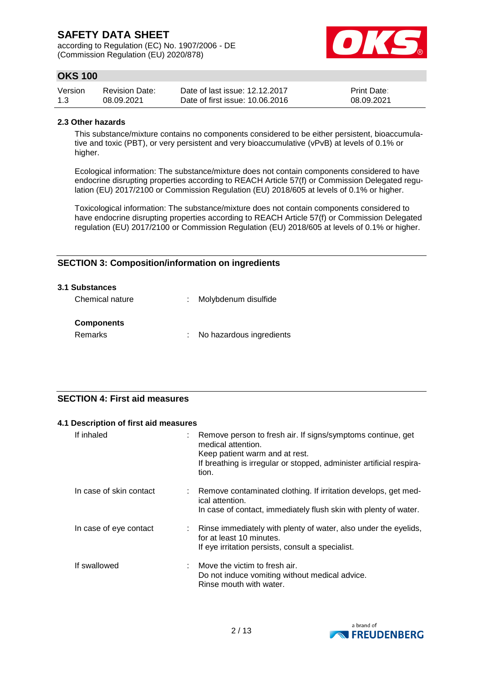according to Regulation (EC) No. 1907/2006 - DE (Commission Regulation (EU) 2020/878)



# **OKS 100**

| Version | <b>Revision Date:</b> | Date of last issue: 12.12.2017  | <b>Print Date:</b> |
|---------|-----------------------|---------------------------------|--------------------|
| 1.3     | 08.09.2021            | Date of first issue: 10.06.2016 | 08.09.2021         |

### **2.3 Other hazards**

This substance/mixture contains no components considered to be either persistent, bioaccumulative and toxic (PBT), or very persistent and very bioaccumulative (vPvB) at levels of 0.1% or higher.

Ecological information: The substance/mixture does not contain components considered to have endocrine disrupting properties according to REACH Article 57(f) or Commission Delegated regulation (EU) 2017/2100 or Commission Regulation (EU) 2018/605 at levels of 0.1% or higher.

Toxicological information: The substance/mixture does not contain components considered to have endocrine disrupting properties according to REACH Article 57(f) or Commission Delegated regulation (EU) 2017/2100 or Commission Regulation (EU) 2018/605 at levels of 0.1% or higher.

# **SECTION 3: Composition/information on ingredients**

| 3.1 Substances               |                            |
|------------------------------|----------------------------|
| Chemical nature              | : Molybdenum disulfide     |
| <b>Components</b><br>Remarks | : No hazardous ingredients |

# **SECTION 4: First aid measures**

|                         | 4.1 Description of first aid measures |                                                                                                                                                                                                      |  |  |  |
|-------------------------|---------------------------------------|------------------------------------------------------------------------------------------------------------------------------------------------------------------------------------------------------|--|--|--|
| If inhaled              |                                       | Remove person to fresh air. If signs/symptoms continue, get<br>medical attention.<br>Keep patient warm and at rest.<br>If breathing is irregular or stopped, administer artificial respira-<br>tion. |  |  |  |
| In case of skin contact |                                       | Remove contaminated clothing. If irritation develops, get med-<br>ical attention.<br>In case of contact, immediately flush skin with plenty of water.                                                |  |  |  |
| In case of eye contact  |                                       | Rinse immediately with plenty of water, also under the eyelids,<br>for at least 10 minutes.<br>If eye irritation persists, consult a specialist.                                                     |  |  |  |
| If swallowed            |                                       | Move the victim to fresh air.<br>Do not induce vomiting without medical advice.<br>Rinse mouth with water.                                                                                           |  |  |  |

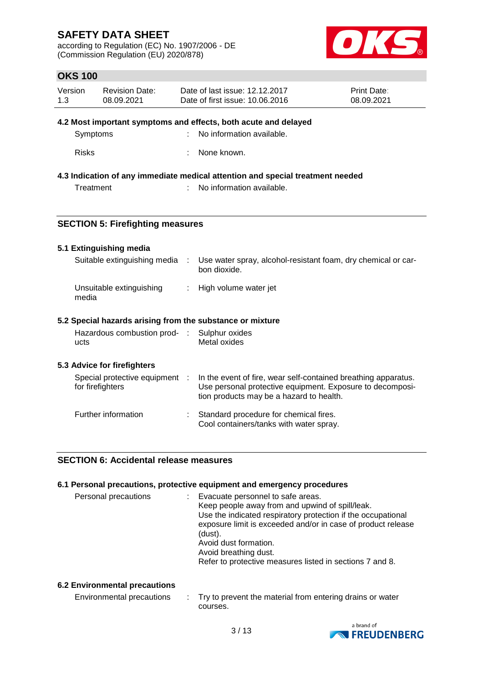according to Regulation (EC) No. 1907/2006 - DE (Commission Regulation (EU) 2020/878)



# **OKS 100**

| Version | <b>Revision Date:</b> | Date of last issue: 12.12.2017  | <b>Print Date:</b> |
|---------|-----------------------|---------------------------------|--------------------|
| 1.3     | 08.09.2021            | Date of first issue: 10.06.2016 | 08.09.2021         |

### **4.2 Most important symptoms and effects, both acute and delayed**

| Symptoms | : No information available. |
|----------|-----------------------------|
|          |                             |

Risks : None known.

### **4.3 Indication of any immediate medical attention and special treatment needed**

Treatment : No information available.

### **SECTION 5: Firefighting measures**

### **5.1 Extinguishing media**

| Suitable extinguishing media :    | Use water spray, alcohol-resistant foam, dry chemical or car-<br>bon dioxide. |
|-----------------------------------|-------------------------------------------------------------------------------|
| Unsuitable extinguishing<br>media | : High volume water jet                                                       |

# **5.2 Special hazards arising from the substance or mixture**

| Hazardous combustion prod- | : Sulphur oxides |
|----------------------------|------------------|
| ucts                       | Metal oxides     |

### **5.3 Advice for firefighters**

| Special protective equipment :<br>for firefighters | In the event of fire, wear self-contained breathing apparatus.<br>Use personal protective equipment. Exposure to decomposi-<br>tion products may be a hazard to health. |
|----------------------------------------------------|-------------------------------------------------------------------------------------------------------------------------------------------------------------------------|
| Further information                                | Standard procedure for chemical fires.<br>Cool containers/tanks with water spray.                                                                                       |

### **SECTION 6: Accidental release measures**

|                      | 6.1 Personal precautions, protective equipment and emergency procedures                                                                                                                                                                                                                                                                       |
|----------------------|-----------------------------------------------------------------------------------------------------------------------------------------------------------------------------------------------------------------------------------------------------------------------------------------------------------------------------------------------|
| Personal precautions | Evacuate personnel to safe areas.<br>Keep people away from and upwind of spill/leak.<br>Use the indicated respiratory protection if the occupational<br>exposure limit is exceeded and/or in case of product release<br>(dust).<br>Avoid dust formation.<br>Avoid breathing dust.<br>Refer to protective measures listed in sections 7 and 8. |
|                      |                                                                                                                                                                                                                                                                                                                                               |

### **6.2 Environmental precautions**

| Environmental precautions | Try to prevent the material from entering drains or water |
|---------------------------|-----------------------------------------------------------|
|                           | courses.                                                  |

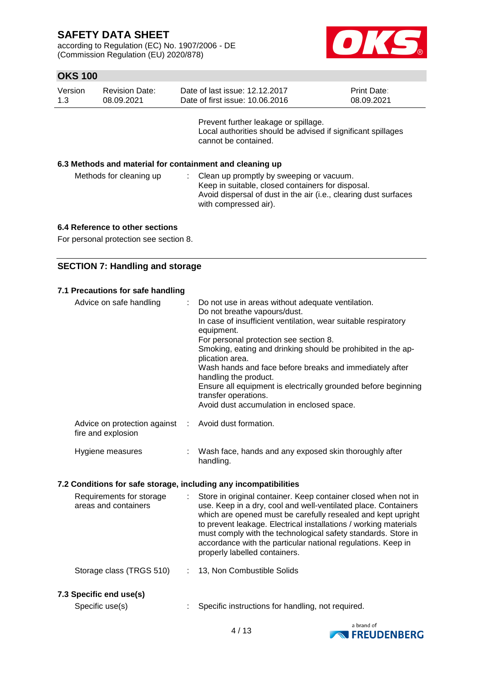according to Regulation (EC) No. 1907/2006 - DE (Commission Regulation (EU) 2020/878)



# **OKS 100**

| Version | <b>Revision Date:</b> | Date of last issue: 12.12.2017  | <b>Print Date:</b> |
|---------|-----------------------|---------------------------------|--------------------|
| 1.3     | 08.09.2021            | Date of first issue: 10.06.2016 | 08.09.2021         |
|         |                       |                                 |                    |

Prevent further leakage or spillage. Local authorities should be advised if significant spillages cannot be contained.

### **6.3 Methods and material for containment and cleaning up**

| Methods for cleaning up | : Clean up promptly by sweeping or vacuum.<br>Keep in suitable, closed containers for disposal.<br>Avoid dispersal of dust in the air (i.e., clearing dust surfaces<br>with compressed air). |
|-------------------------|----------------------------------------------------------------------------------------------------------------------------------------------------------------------------------------------|
|                         |                                                                                                                                                                                              |

### **6.4 Reference to other sections**

For personal protection see section 8.

### **SECTION 7: Handling and storage**

# **7.1 Precautions for safe handling**

|                                                                  | Advice on safe handling                                                    |  | : Do not use in areas without adequate ventilation.<br>Do not breathe vapours/dust.    |  |
|------------------------------------------------------------------|----------------------------------------------------------------------------|--|----------------------------------------------------------------------------------------|--|
|                                                                  |                                                                            |  | In case of insufficient ventilation, wear suitable respiratory<br>equipment.           |  |
|                                                                  |                                                                            |  | For personal protection see section 8.                                                 |  |
|                                                                  |                                                                            |  | Smoking, eating and drinking should be prohibited in the ap-<br>plication area.        |  |
|                                                                  |                                                                            |  | Wash hands and face before breaks and immediately after<br>handling the product.       |  |
|                                                                  |                                                                            |  | Ensure all equipment is electrically grounded before beginning<br>transfer operations. |  |
|                                                                  |                                                                            |  | Avoid dust accumulation in enclosed space.                                             |  |
|                                                                  | Advice on protection against : Avoid dust formation.<br>fire and explosion |  |                                                                                        |  |
|                                                                  | Hygiene measures                                                           |  | Wash face, hands and any exposed skin thoroughly after<br>handling.                    |  |
| 7.2 Conditions for safe storage, including any incompatibilities |                                                                            |  |                                                                                        |  |

- Requirements for storage areas and containers : Store in original container. Keep container closed when not in use. Keep in a dry, cool and well-ventilated place. Containers which are opened must be carefully resealed and kept upright to prevent leakage. Electrical installations / working materials must comply with the technological safety standards. Store in accordance with the particular national regulations. Keep in properly labelled containers.
- Storage class (TRGS 510) : 13, Non Combustible Solids

#### **7.3 Specific end use(s)**

Specific use(s) : Specific instructions for handling, not required.

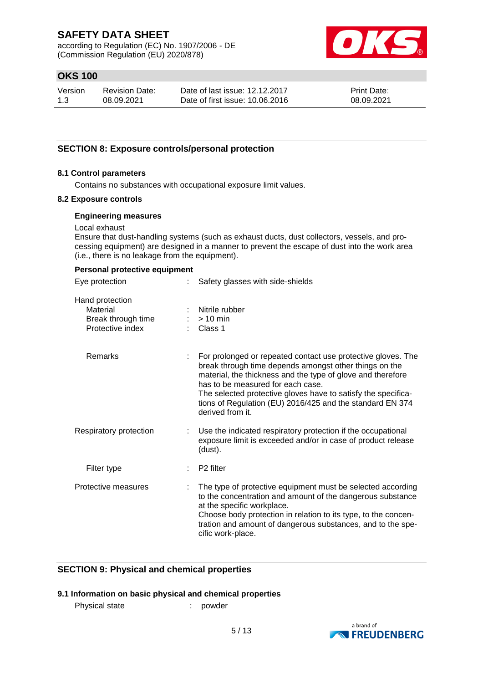according to Regulation (EC) No. 1907/2006 - DE (Commission Regulation (EU) 2020/878)



# **OKS 100**

| Version | <b>Revision Date:</b> | Date of last issue: 12.12.2017  | Print Date: |
|---------|-----------------------|---------------------------------|-------------|
| 1.3     | 08.09.2021            | Date of first issue: 10.06.2016 | 08.09.2021  |

### **SECTION 8: Exposure controls/personal protection**

### **8.1 Control parameters**

Contains no substances with occupational exposure limit values.

#### **8.2 Exposure controls**

#### **Engineering measures**

Local exhaust

Ensure that dust-handling systems (such as exhaust ducts, dust collectors, vessels, and processing equipment) are designed in a manner to prevent the escape of dust into the work area (i.e., there is no leakage from the equipment).

#### **Personal protective equipment**

| Eye protection                                                        | Safety glasses with side-shields                                                                                                                                                                                                                                                                                                                                             |
|-----------------------------------------------------------------------|------------------------------------------------------------------------------------------------------------------------------------------------------------------------------------------------------------------------------------------------------------------------------------------------------------------------------------------------------------------------------|
| Hand protection<br>Material<br>Break through time<br>Protective index | Nitrile rubber<br>$> 10$ min<br>Class 1                                                                                                                                                                                                                                                                                                                                      |
| Remarks                                                               | For prolonged or repeated contact use protective gloves. The<br>break through time depends amongst other things on the<br>material, the thickness and the type of glove and therefore<br>has to be measured for each case.<br>The selected protective gloves have to satisfy the specifica-<br>tions of Regulation (EU) 2016/425 and the standard EN 374<br>derived from it. |
| Respiratory protection                                                | Use the indicated respiratory protection if the occupational<br>exposure limit is exceeded and/or in case of product release<br>(dust).                                                                                                                                                                                                                                      |
| Filter type                                                           | P <sub>2</sub> filter                                                                                                                                                                                                                                                                                                                                                        |
| Protective measures                                                   | The type of protective equipment must be selected according<br>to the concentration and amount of the dangerous substance<br>at the specific workplace.<br>Choose body protection in relation to its type, to the concen-<br>tration and amount of dangerous substances, and to the spe-<br>cific work-place.                                                                |

### **SECTION 9: Physical and chemical properties**

### **9.1 Information on basic physical and chemical properties**

Physical state : powder

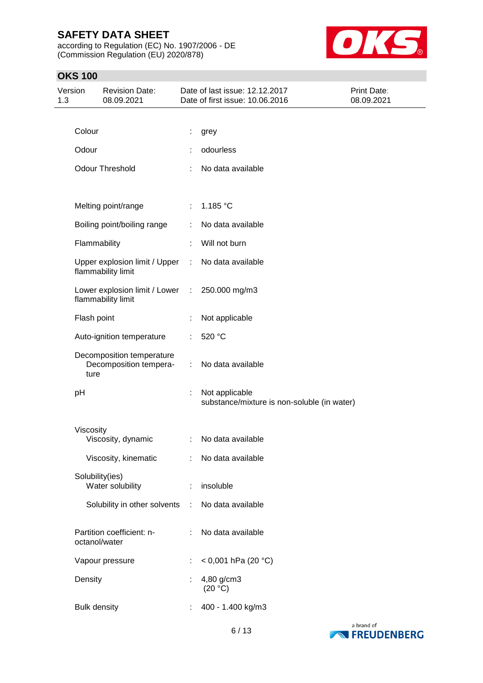according to Regulation (EC) No. 1907/2006 - DE (Commission Regulation (EU) 2020/878)



# **OKS 100**

| Version<br>1.3 |                     | <b>Revision Date:</b><br>08.09.2021                 |    | Date of last issue: 12.12.2017<br>Date of first issue: 10.06.2016 | Print Date:<br>08.09.2021 |
|----------------|---------------------|-----------------------------------------------------|----|-------------------------------------------------------------------|---------------------------|
|                |                     |                                                     |    |                                                                   |                           |
|                | Colour              |                                                     |    | grey                                                              |                           |
|                | Odour               |                                                     |    | odourless                                                         |                           |
|                |                     | <b>Odour Threshold</b>                              |    | No data available                                                 |                           |
|                |                     | Melting point/range                                 | ÷. | 1.185 °C                                                          |                           |
|                |                     | Boiling point/boiling range                         |    | No data available                                                 |                           |
|                | Flammability        |                                                     |    | Will not burn                                                     |                           |
|                |                     | Upper explosion limit / Upper<br>flammability limit | ÷  | No data available                                                 |                           |
|                |                     | Lower explosion limit / Lower<br>flammability limit | ÷. | 250.000 mg/m3                                                     |                           |
|                | Flash point         |                                                     |    | Not applicable                                                    |                           |
|                |                     | Auto-ignition temperature                           |    | 520 °C                                                            |                           |
|                | ture                | Decomposition temperature<br>Decomposition tempera- | ÷  | No data available                                                 |                           |
|                | pH                  |                                                     |    | Not applicable<br>substance/mixture is non-soluble (in water)     |                           |
|                | Viscosity           | Viscosity, dynamic                                  | ÷  | No data available                                                 |                           |
|                |                     | Viscosity, kinematic                                | ÷. | No data available                                                 |                           |
|                | Solubility(ies)     | Water solubility                                    | ÷  | insoluble                                                         |                           |
|                |                     | Solubility in other solvents                        | ÷  | No data available                                                 |                           |
|                | octanol/water       | Partition coefficient: n-                           |    | No data available                                                 |                           |
|                |                     | Vapour pressure                                     | ÷  | < 0,001 hPa (20 °C)                                               |                           |
|                | Density             |                                                     | ÷  | 4,80 g/cm3<br>(20 °C)                                             |                           |
|                | <b>Bulk density</b> |                                                     |    | 400 - 1.400 kg/m3                                                 |                           |

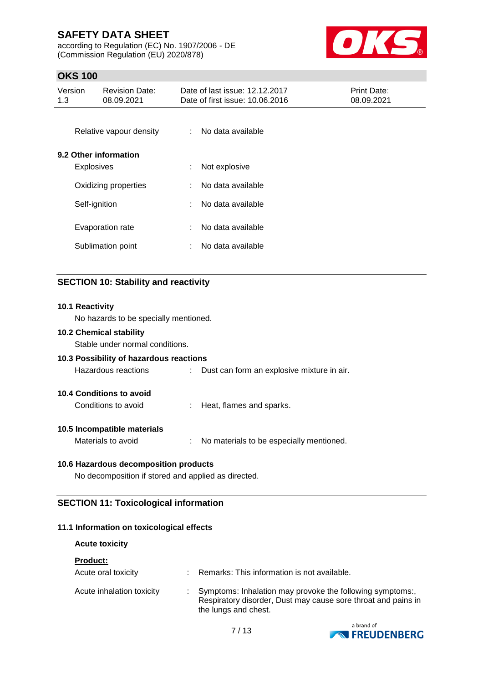according to Regulation (EC) No. 1907/2006 - DE (Commission Regulation (EU) 2020/878)



# **OKS 100**

| Version<br>1.3       | <b>Revision Date:</b><br>08.09.2021 | Date of last issue: 12.12.2017<br>Date of first issue: 10.06.2016 | Print Date:<br>08.09.2021 |
|----------------------|-------------------------------------|-------------------------------------------------------------------|---------------------------|
|                      | Relative vapour density             | No data available<br>÷.                                           |                           |
|                      | 9.2 Other information               |                                                                   |                           |
|                      | <b>Explosives</b>                   | Not explosive<br>÷.                                               |                           |
| Oxidizing properties |                                     | No data available<br>÷                                            |                           |
| Self-ignition        |                                     | No data available<br>÷.                                           |                           |
|                      | Evaporation rate                    | No data available<br>t.                                           |                           |
|                      | Sublimation point                   | No data available<br>÷.                                           |                           |
|                      |                                     |                                                                   |                           |

# **SECTION 10: Stability and reactivity**

# **10.1 Reactivity** No hazards to be specially mentioned. **10.2 Chemical stability** Stable under normal conditions. **10.3 Possibility of hazardous reactions** Hazardous reactions : Dust can form an explosive mixture in air. **10.4 Conditions to avoid** Conditions to avoid : Heat, flames and sparks. **10.5 Incompatible materials** Materials to avoid : No materials to be especially mentioned. **10.6 Hazardous decomposition products** No decomposition if stored and applied as directed.

# **SECTION 11: Toxicological information**

### **11.1 Information on toxicological effects**

### **Acute toxicity**

| <b>Product:</b>           |                                                                                                                                                    |
|---------------------------|----------------------------------------------------------------------------------------------------------------------------------------------------|
| Acute oral toxicity       | Remarks: This information is not available.                                                                                                        |
| Acute inhalation toxicity | Symptoms: Inhalation may provoke the following symptoms:,<br>Respiratory disorder, Dust may cause sore throat and pains in<br>the lungs and chest. |

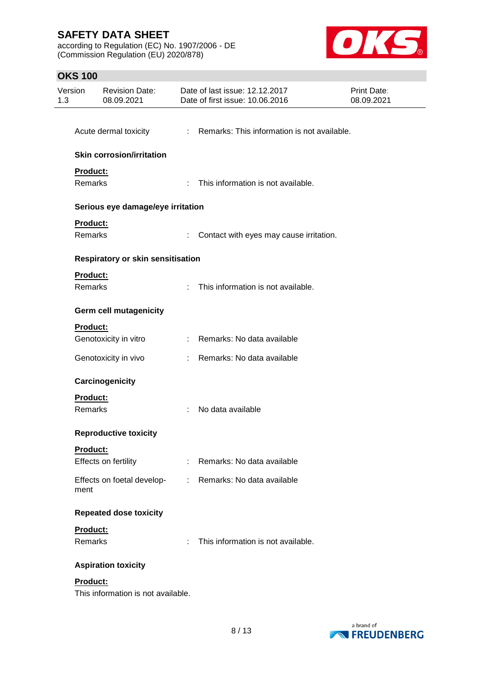according to Regulation (EC) No. 1907/2006 - DE (Commission Regulation (EU) 2020/878)



# **OKS 100**

| Version<br>1.3  | <b>Revision Date:</b><br>08.09.2021      |                             | Date of last issue: 12.12.2017<br>Date of first issue: 10.06.2016 | <b>Print Date:</b><br>08.09.2021 |
|-----------------|------------------------------------------|-----------------------------|-------------------------------------------------------------------|----------------------------------|
|                 |                                          |                             |                                                                   |                                  |
|                 | Acute dermal toxicity                    |                             | : Remarks: This information is not available.                     |                                  |
|                 | <b>Skin corrosion/irritation</b>         |                             |                                                                   |                                  |
| Product:        |                                          |                             |                                                                   |                                  |
|                 | <b>Remarks</b>                           |                             | : This information is not available.                              |                                  |
|                 | Serious eye damage/eye irritation        |                             |                                                                   |                                  |
| Product:        |                                          |                             |                                                                   |                                  |
| Remarks         |                                          | ÷                           | Contact with eyes may cause irritation.                           |                                  |
|                 | <b>Respiratory or skin sensitisation</b> |                             |                                                                   |                                  |
| Product:        |                                          |                             |                                                                   |                                  |
| Remarks         |                                          | $\mathcal{C}_{\mathcal{A}}$ | This information is not available.                                |                                  |
|                 | Germ cell mutagenicity                   |                             |                                                                   |                                  |
| Product:        |                                          |                             |                                                                   |                                  |
|                 | Genotoxicity in vitro                    |                             | : Remarks: No data available                                      |                                  |
|                 | Genotoxicity in vivo                     | t.                          | Remarks: No data available                                        |                                  |
|                 | Carcinogenicity                          |                             |                                                                   |                                  |
| Product:        |                                          |                             |                                                                   |                                  |
| Remarks         |                                          |                             | No data available                                                 |                                  |
|                 | <b>Reproductive toxicity</b>             |                             |                                                                   |                                  |
| <u>Product:</u> |                                          |                             |                                                                   |                                  |
|                 | Effects on fertility                     |                             | Remarks: No data available                                        |                                  |
| ment            | Effects on foetal develop-               |                             | : Remarks: No data available                                      |                                  |
|                 | <b>Repeated dose toxicity</b>            |                             |                                                                   |                                  |
| Product:        |                                          |                             |                                                                   |                                  |
| <b>Remarks</b>  |                                          | ÷                           | This information is not available.                                |                                  |
|                 | <b>Aspiration toxicity</b>               |                             |                                                                   |                                  |
| Product:        |                                          |                             |                                                                   |                                  |
|                 | This information is not available.       |                             |                                                                   |                                  |

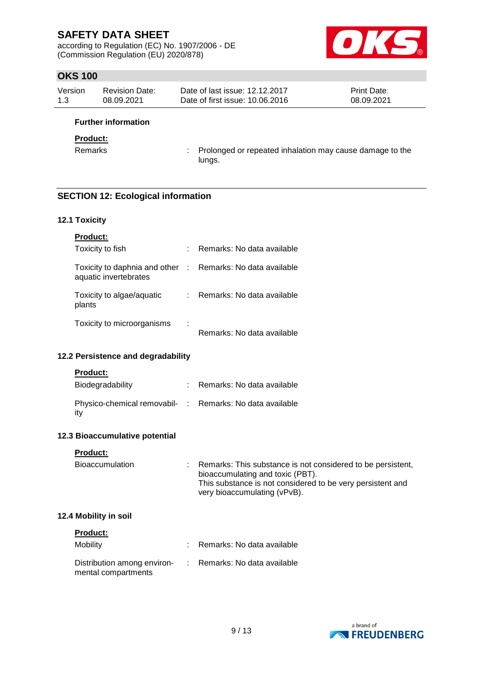according to Regulation (EC) No. 1907/2006 - DE (Commission Regulation (EU) 2020/878)



# **OKS 100**

| Version | Revision Date: | Date of last issue: 12.12.2017  | <b>Print Date:</b> |
|---------|----------------|---------------------------------|--------------------|
| 1.3     | 08.09.2021     | Date of first issue: 10.06.2016 | 08.09.2021         |

### **Further information**

### **Product:**

Remarks : Prolonged or repeated inhalation may cause damage to the lungs.

### **SECTION 12: Ecological information**

### **12.1 Toxicity**

| <b>Product:</b>                                        |   |                              |
|--------------------------------------------------------|---|------------------------------|
| Toxicity to fish                                       |   | Remarks: No data available   |
| Toxicity to daphnia and other<br>aquatic invertebrates |   | : Remarks: No data available |
| Toxicity to algae/aquatic<br>plants                    |   | Remarks: No data available   |
| Toxicity to microorganisms                             | ٠ |                              |

### Remarks: No data available

### **12.2 Persistence and degradability**

#### **Product:**

| Biodegradability                                                | : Remarks: No data available |
|-----------------------------------------------------------------|------------------------------|
| Physico-chemical removabil- : Remarks: No data available<br>ity |                              |

### **12.3 Bioaccumulative potential**

#### **Product:**

| : Remarks: This substance is not considered to be persistent,<br>Bioaccumulation<br>bioaccumulating and toxic (PBT).<br>This substance is not considered to be very persistent and<br>very bioaccumulating (vPvB). |  |
|--------------------------------------------------------------------------------------------------------------------------------------------------------------------------------------------------------------------|--|
|--------------------------------------------------------------------------------------------------------------------------------------------------------------------------------------------------------------------|--|

### **12.4 Mobility in soil**

| <b>Product:</b>                                    |                              |
|----------------------------------------------------|------------------------------|
| Mobility                                           | : Remarks: No data available |
| Distribution among environ-<br>mental compartments | : Remarks: No data available |

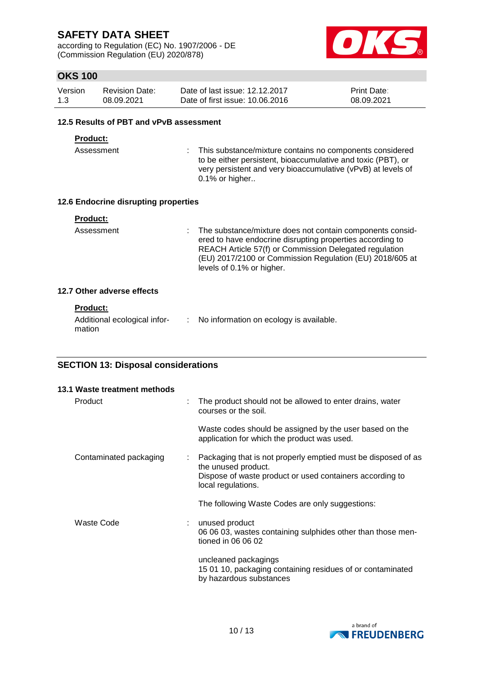according to Regulation (EC) No. 1907/2006 - DE (Commission Regulation (EU) 2020/878)



# **OKS 100**

| Version | <b>Revision Date:</b> | Date of last issue: 12.12.2017  | <b>Print Date:</b> |
|---------|-----------------------|---------------------------------|--------------------|
| 1.3     | 08.09.2021            | Date of first issue: 10.06.2016 | 08.09.2021         |

### **12.5 Results of PBT and vPvB assessment**

### **Product:**

Assessment : This substance/mixture contains no components considered to be either persistent, bioaccumulative and toxic (PBT), or very persistent and very bioaccumulative (vPvB) at levels of 0.1% or higher..

### **12.6 Endocrine disrupting properties**

| Product: |  |  |  |  |
|----------|--|--|--|--|
|          |  |  |  |  |

Assessment : The substance/mixture does not contain components considered to have endocrine disrupting properties according to REACH Article 57(f) or Commission Delegated regulation (EU) 2017/2100 or Commission Regulation (EU) 2018/605 at levels of 0.1% or higher.

### **12.7 Other adverse effects**

### **Product:**

| Additional ecological infor- | No information on ecology is available. |
|------------------------------|-----------------------------------------|
| mation                       |                                         |

# **SECTION 13: Disposal considerations**

| 13.1 Waste treatment methods |   |                                                                                                                                                                        |
|------------------------------|---|------------------------------------------------------------------------------------------------------------------------------------------------------------------------|
| Product                      | ÷ | The product should not be allowed to enter drains, water<br>courses or the soil.                                                                                       |
|                              |   | Waste codes should be assigned by the user based on the<br>application for which the product was used.                                                                 |
| Contaminated packaging       | ÷ | Packaging that is not properly emptied must be disposed of as<br>the unused product.<br>Dispose of waste product or used containers according to<br>local regulations. |
|                              |   | The following Waste Codes are only suggestions:                                                                                                                        |
| Waste Code                   |   | unused product<br>06 06 03, wastes containing sulphides other than those men-<br>tioned in 06 06 02                                                                    |
|                              |   | uncleaned packagings<br>15 01 10, packaging containing residues of or contaminated<br>by hazardous substances                                                          |

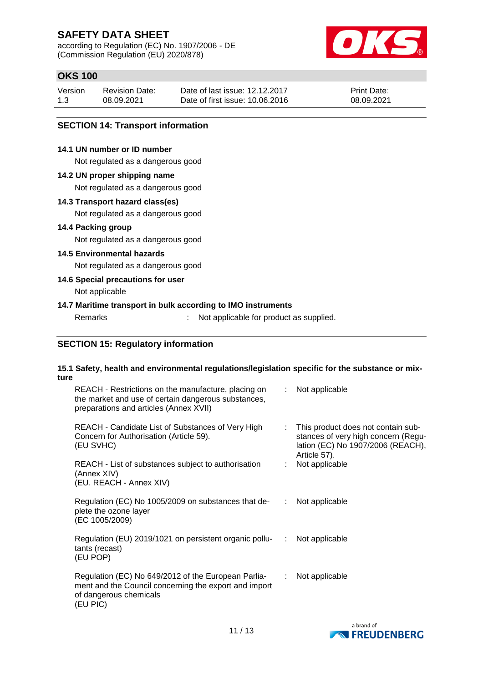according to Regulation (EC) No. 1907/2006 - DE (Commission Regulation (EU) 2020/878)



# **OKS 100**

| Version | <b>Revision Date:</b> | Date of last issue: 12.12.2017  | <b>Print Date:</b> |
|---------|-----------------------|---------------------------------|--------------------|
| 1.3     | 08.09.2021            | Date of first issue: 10.06.2016 | 08.09.2021         |

### **SECTION 14: Transport information**

### **14.1 UN number or ID number**

Not regulated as a dangerous good

#### **14.2 UN proper shipping name**

Not regulated as a dangerous good

### **14.3 Transport hazard class(es)**

Not regulated as a dangerous good

### **14.4 Packing group**

Not regulated as a dangerous good

### **14.5 Environmental hazards**

Not regulated as a dangerous good

### **14.6 Special precautions for user**

Not applicable

### **14.7 Maritime transport in bulk according to IMO instruments**

Remarks : Not applicable for product as supplied.

### **SECTION 15: Regulatory information**

#### **15.1 Safety, health and environmental regulations/legislation specific for the substance or mixture**

| REACH - Restrictions on the manufacture, placing on<br>the market and use of certain dangerous substances,<br>preparations and articles (Annex XVII) | ÷. | Not applicable                                                                                                                   |
|------------------------------------------------------------------------------------------------------------------------------------------------------|----|----------------------------------------------------------------------------------------------------------------------------------|
| REACH - Candidate List of Substances of Very High<br>Concern for Authorisation (Article 59).<br>(EU SVHC)                                            |    | : This product does not contain sub-<br>stances of very high concern (Regu-<br>lation (EC) No 1907/2006 (REACH),<br>Article 57). |
| REACH - List of substances subject to authorisation<br>(Annex XIV)<br>(EU. REACH - Annex XIV)                                                        |    | Not applicable                                                                                                                   |
| Regulation (EC) No 1005/2009 on substances that de-<br>plete the ozone layer<br>(EC 1005/2009)                                                       | ÷. | Not applicable                                                                                                                   |
| Regulation (EU) 2019/1021 on persistent organic pollu-<br>tants (recast)<br>(EU POP)                                                                 | ÷. | Not applicable                                                                                                                   |
| Regulation (EC) No 649/2012 of the European Parlia-<br>ment and the Council concerning the export and import<br>of dangerous chemicals<br>(EU PIC)   | ÷. | Not applicable                                                                                                                   |

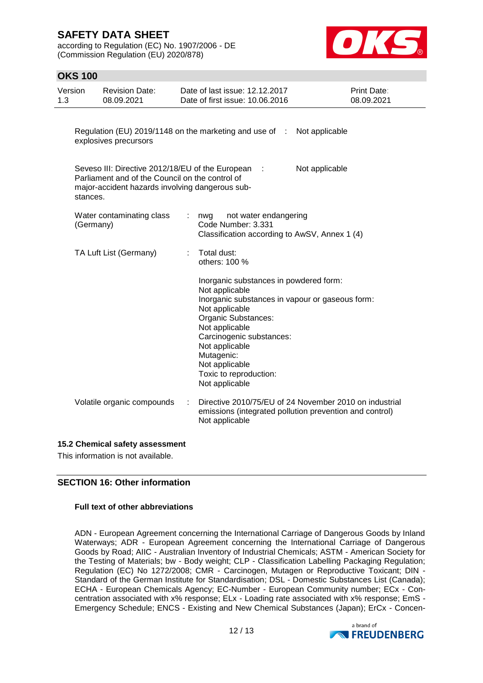according to Regulation (EC) No. 1907/2006 - DE (Commission Regulation (EU) 2020/878)



# **OKS 100**

| Version<br>1.3 | <b>Revision Date:</b><br>08.09.2021                                                                                                                    | Date of last issue: 12.12.2017<br>Date of first issue: 10.06.2016                                                                                                                                                                                                                                | Print Date:<br>08.09.2021 |
|----------------|--------------------------------------------------------------------------------------------------------------------------------------------------------|--------------------------------------------------------------------------------------------------------------------------------------------------------------------------------------------------------------------------------------------------------------------------------------------------|---------------------------|
|                | explosives precursors                                                                                                                                  | Regulation (EU) 2019/1148 on the marketing and use of :<br>Not applicable                                                                                                                                                                                                                        |                           |
| stances.       | Seveso III: Directive 2012/18/EU of the European<br>Parliament and of the Council on the control of<br>major-accident hazards involving dangerous sub- | Not applicable<br>$\mathbb{R}^2$                                                                                                                                                                                                                                                                 |                           |
| (Germany)      | Water contaminating class                                                                                                                              | not water endangering<br>nwg<br>Code Number: 3.331<br>Classification according to AwSV, Annex 1 (4)                                                                                                                                                                                              |                           |
|                | TA Luft List (Germany)                                                                                                                                 | Total dust:<br>others: 100 %                                                                                                                                                                                                                                                                     |                           |
|                |                                                                                                                                                        | Inorganic substances in powdered form:<br>Not applicable<br>Inorganic substances in vapour or gaseous form:<br>Not applicable<br>Organic Substances:<br>Not applicable<br>Carcinogenic substances:<br>Not applicable<br>Mutagenic:<br>Not applicable<br>Toxic to reproduction:<br>Not applicable |                           |
|                | Volatile organic compounds                                                                                                                             | Directive 2010/75/EU of 24 November 2010 on industrial<br>emissions (integrated pollution prevention and control)<br>Not applicable                                                                                                                                                              |                           |

### **15.2 Chemical safety assessment**

This information is not available.

# **SECTION 16: Other information**

### **Full text of other abbreviations**

ADN - European Agreement concerning the International Carriage of Dangerous Goods by Inland Waterways; ADR - European Agreement concerning the International Carriage of Dangerous Goods by Road; AIIC - Australian Inventory of Industrial Chemicals; ASTM - American Society for the Testing of Materials; bw - Body weight; CLP - Classification Labelling Packaging Regulation; Regulation (EC) No 1272/2008; CMR - Carcinogen, Mutagen or Reproductive Toxicant; DIN - Standard of the German Institute for Standardisation; DSL - Domestic Substances List (Canada); ECHA - European Chemicals Agency; EC-Number - European Community number; ECx - Concentration associated with x% response; ELx - Loading rate associated with x% response; EmS - Emergency Schedule; ENCS - Existing and New Chemical Substances (Japan); ErCx - Concen-